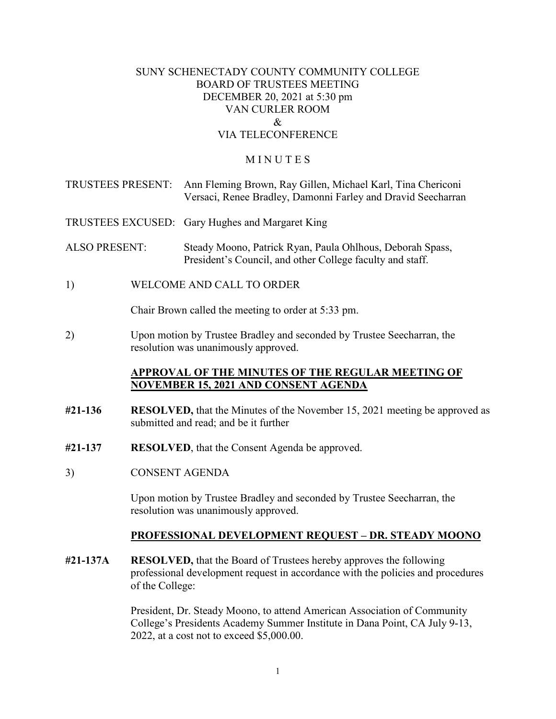#### SUNY SCHENECTADY COUNTY COMMUNITY COLLEGE BOARD OF TRUSTEES MEETING DECEMBER 20, 2021 at 5:30 pm VAN CURLER ROOM  $\mathcal{R}_{\mathcal{L}}$ VIA TELECONFERENCE

#### **MINUTES**

|                      |                           | TRUSTEES PRESENT: Ann Fleming Brown, Ray Gillen, Michael Karl, Tina Chericoni<br>Versaci, Renee Bradley, Damonni Farley and Dravid Seecharran |
|----------------------|---------------------------|-----------------------------------------------------------------------------------------------------------------------------------------------|
|                      |                           | TRUSTEES EXCUSED: Gary Hughes and Margaret King                                                                                               |
| <b>ALSO PRESENT:</b> |                           | Steady Moono, Patrick Ryan, Paula Ohlhous, Deborah Spass,<br>President's Council, and other College faculty and staff.                        |
| 1)                   | WELCOME AND CALL TO ORDER |                                                                                                                                               |

Chair Brown called the meeting to order at 5:33 pm.

2) Upon motion by Trustee Bradley and seconded by Trustee Seecharran, the resolution was unanimously approved.

#### **APPROVAL OF THE MINUTES OF THE REGULAR MEETING OF NOVEMBER 15, 2021 AND CONSENT AGENDA**

- **#21-136 RESOLVED,** that the Minutes of the November 15, 2021 meeting be approved as submitted and read; and be it further
- **#21-137 RESOLVED**, that the Consent Agenda be approved.
- **CONSENT AGENDA**

 3) CONSENT AGENDA Upon motion by Trustee Bradley and seconded by Trustee Seecharran, the resolution was unanimously approved.

#### **PROFESSIONAL DEVELOPMENT REQUEST – DR. STEADY MOONO**

**#21-137A RESOLVED,** that the Board of Trustees hereby approves the following professional development request in accordance with the policies and procedures of the College:

> College's Presidents Academy Summer Institute in Dana Point, CA July 9-13, President, Dr. Steady Moono, to attend American Association of Community 2022, at a cost not to exceed [\\$5,000.00](https://5,000.00).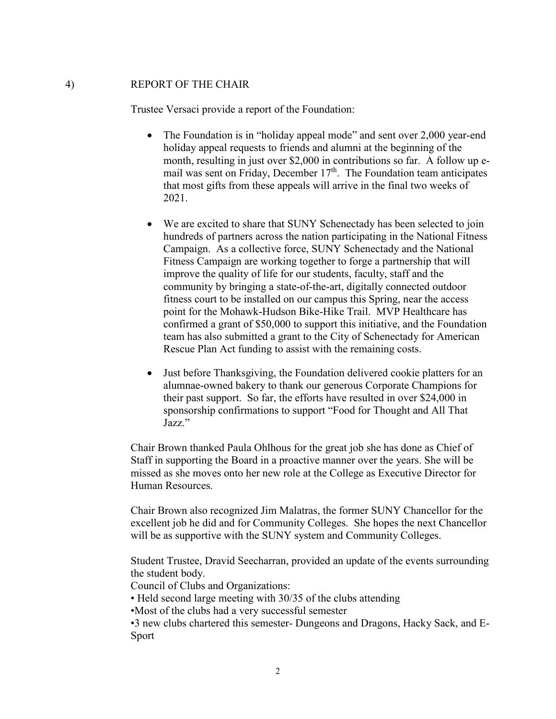#### $4)$ 4) REPORT OF THE CHAIR

Trustee Versaci provide a report of the Foundation:

- The Foundation is in "holiday appeal mode" and sent over 2,000 year-end holiday appeal requests to friends and alumni at the beginning of the month, resulting in just over \$2,000 in contributions so far. A follow up email was sent on Friday, December 17<sup>th</sup>. The Foundation team anticipates that most gifts from these appeals will arrive in the final two weeks of 2021.
- point for the Mohawk-Hudson Bike-Hike Trail. MVP Healthcare has • We are excited to share that SUNY Schenectady has been selected to join hundreds of partners across the nation participating in the National Fitness Campaign. As a collective force, SUNY Schenectady and the National Fitness Campaign are working together to forge a partnership that will improve the quality of life for our students, faculty, staff and the community by bringing a state-of-the-art, digitally connected outdoor fitness court to be installed on our campus this Spring, near the access confirmed a grant of \$50,000 to support this initiative, and the Foundation team has also submitted a grant to the City of Schenectady for American Rescue Plan Act funding to assist with the remaining costs.
- Just before Thanksgiving, the Foundation delivered cookie platters for an alumnae-owned bakery to thank our generous Corporate Champions for their past support. So far, the efforts have resulted in over \$24,000 in sponsorship confirmations to support "Food for Thought and All That Jazz."

 Chair Brown thanked Paula Ohlhous for the great job she has done as Chief of Staff in supporting the Board in a proactive manner over the years. She will be missed as she moves onto her new role at the College as Executive Director for Human Resources.

Chair Brown also recognized Jim Malatras, the former SUNY Chancellor for the excellent job he did and for Community Colleges. She hopes the next Chancellor will be as supportive with the SUNY system and Community Colleges.

the student body. Student Trustee, Dravid Seecharran, provided an update of the events surrounding

Council of Clubs and Organizations:

• Held second large meeting with 30/35 of the clubs attending

•Most of the clubs had a very successful semester

•3 new clubs chartered this semester- Dungeons and Dragons, Hacky Sack, and E-Sport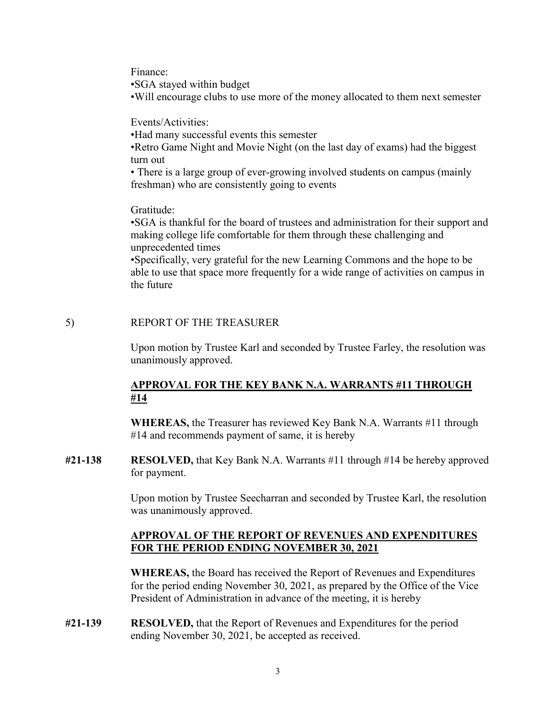Finance:

•SGA stayed within budget

 $\ddot{\phantom{0}}$ •SGA stayed within budget •Will encourage clubs to use more of the money allocated to them next semester Events/Activities:

•Had many successful events this semester

turn out •Retro Game Night and Movie Night (on the last day of exams) had the biggest

• There is a large group of ever-growing involved students on campus (mainly freshman) who are consistently going to events

Gratitude:

•SGA is thankful for the board of trustees and administration for their support and making college life comfortable for them through these challenging and unprecedented times

 •Specifically, very grateful for the new Learning Commons and the hope to be able to use that space more frequently for a wide range of activities on campus in the future

# 5) REPORT OF THE TREASURER

 Upon motion by Trustee Karl and seconded by Trustee Farley, the resolution was unanimously approved.

# **APPROVAL FOR THE KEY BANK N.A. WARRANTS #11 THROUGH #14**

**WHEREAS,** the Treasurer has reviewed Key Bank N.A. Warrants #11 through #14 and recommends payment of same, it is hereby

**#21-138 RESOLVED,** that Key Bank N.A. Warrants #11 through #14 be hereby approved for payment.

> was unanimously approved. Upon motion by Trustee Seecharran and seconded by Trustee Karl, the resolution

#### **APPROVAL OF THE REPORT OF REVENUES AND EXPENDITURES FOR THE PERIOD ENDING NOVEMBER 30, 2021**

 for the period ending November 30, 2021, as prepared by the Office of the Vice **WHEREAS,** the Board has received the Report of Revenues and Expenditures President of Administration in advance of the meeting, it is hereby

**#21-139 RESOLVED,** that the Report of Revenues and Expenditures for the period ending November 30, 2021, be accepted as received.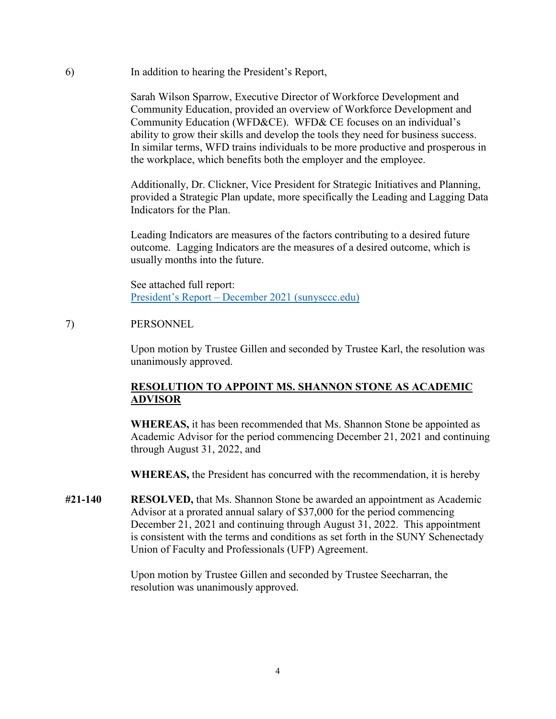6) In addition to hearing the President's Report,

Sarah Wilson Sparrow, Executive Director of Workforce Development and Community Education, provided an overview of Workforce Development and Community Education (WFD&CE). WFD& CE focuses on an individual's ability to grow their skills and develop the tools they need for business success. In similar terms, WFD trains individuals to be more productive and prosperous in the workplace, which benefits both the employer and the employee.

Additionally, Dr. Clickner, Vice President for Strategic Initiatives and Planning, provided a Strategic Plan update, more specifically the Leading and Lagging Data Indicators for the Plan.

 outcome. Lagging Indicators are the measures of a desired outcome, which is Leading Indicators are measures of the factors contributing to a desired future usually months into the future.

See attached full report: [President's Report – December 2021 \(sunysccc.edu\)](https://sunysccc.edu/PDF/About%20SCCC/CollegeLeadershipVision/PresidentsReport_12-2021.pdf) 

# 7) PERSONNEL

 Upon motion by Trustee Gillen and seconded by Trustee Karl, the resolution was unanimously approved.

# **RESOLUTION TO APPOINT MS. SHANNON STONE AS ACADEMIC ADVISOR**

**WHEREAS,** it has been recommended that Ms. Shannon Stone be appointed as Academic Advisor for the period commencing December 21, 2021 and continuing through August 31, 2022, and

**WHEREAS,** the President has concurred with the recommendation, it is hereby

Union of Faculty and Professionals (UFP) Agreement. **#21-140 RESOLVED,** that Ms. Shannon Stone be awarded an appointment as Academic Advisor at a prorated annual salary of \$37,000 for the period commencing December 21, 2021 and continuing through August 31, 2022. This appointment is consistent with the terms and conditions as set forth in the SUNY Schenectady

Union of Faculty and Professionals (UFP) Agreement.<br>Upon motion by Trustee Gillen and seconded by Trustee Seecharran, the resolution was unanimously approved.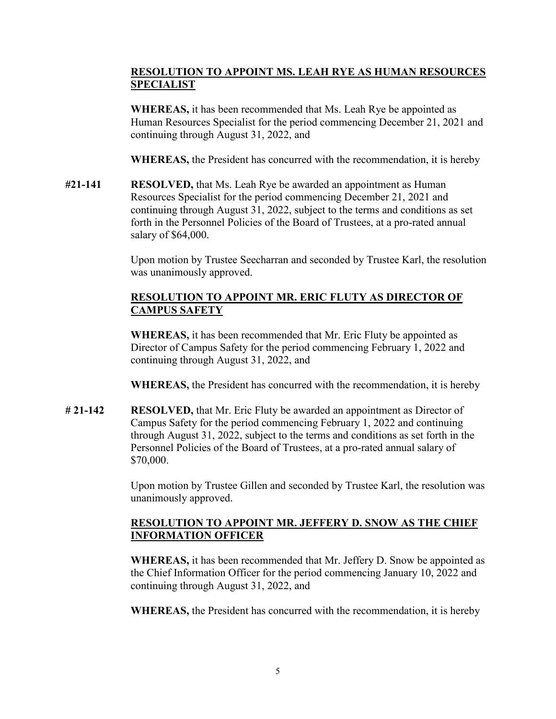# **RESOLUTION TO APPOINT MS. LEAH RYE AS HUMAN RESOURCES SPECIALIST**

**WHEREAS,** it has been recommended that Ms. Leah Rye be appointed as Human Resources Specialist for the period commencing December 21, 2021 and continuing through August 31, 2022, and

**WHEREAS,** the President has concurred with the recommendation, it is hereby

**#21-141 RESOLVED,** that Ms. Leah Rye be awarded an appointment as Human Resources Specialist for the period commencing December 21, 2021 and continuing through August 31, 2022, subject to the terms and conditions as set forth in the Personnel Policies of the Board of Trustees, at a pro-rated annual salary of \$64,000.

> Upon motion by Trustee Seecharran and seconded by Trustee Karl, the resolution was unanimously approved.

#### **RESOLUTION TO APPOINT MR. ERIC FLUTY AS DIRECTOR OF CAMPUS SAFETY**

**WHEREAS,** it has been recommended that Mr. Eric Fluty be appointed as Director of Campus Safety for the period commencing February 1, 2022 and continuing through August 31, 2022, and

**WHEREAS,** the President has concurred with the recommendation, it is hereby

**# 21-142 RESOLVED,** that Mr. Eric Fluty be awarded an appointment as Director of Campus Safety for the period commencing February 1, 2022 and continuing through August 31, 2022, subject to the terms and conditions as set forth in the Personnel Policies of the Board of Trustees, at a pro-rated annual salary of \$70,000.

> Upon motion by Trustee Gillen and seconded by Trustee Karl, the resolution was unanimously approved.

# **RESOLUTION TO APPOINT MR. JEFFERY D. SNOW AS THE CHIEF INFORMATION OFFICER**

**WHEREAS,** it has been recommended that Mr. Jeffery D. Snow be appointed as the Chief Information Officer for the period commencing January 10, 2022 and continuing through August 31, 2022, and

**WHEREAS,** the President has concurred with the recommendation, it is hereby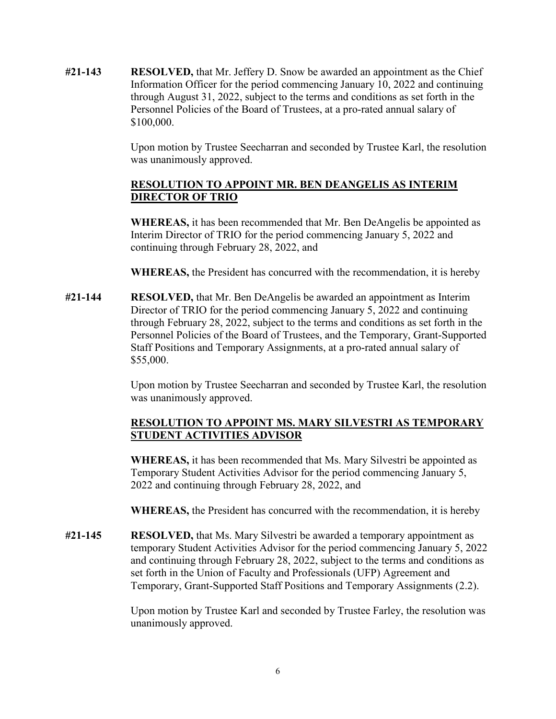**#21-143 RESOLVED,** that Mr. Jeffery D. Snow be awarded an appointment as the Chief Information Officer for the period commencing January 10, 2022 and continuing through August 31, 2022, subject to the terms and conditions as set forth in the Personnel Policies of the Board of Trustees, at a pro-rated annual salary of \$100,000.

> was unanimously approved. Upon motion by Trustee Seecharran and seconded by Trustee Karl, the resolution

# **RESOLUTION TO APPOINT MR. BEN DEANGELIS AS INTERIM DIRECTOR OF TRIO**

**WHEREAS,** it has been recommended that Mr. Ben DeAngelis be appointed as Interim Director of TRIO for the period commencing January 5, 2022 and continuing through February 28, 2022, and

**WHEREAS,** the President has concurred with the recommendation, it is hereby

**#21-144 RESOLVED,** that Mr. Ben DeAngelis be awarded an appointment as Interim Director of TRIO for the period commencing January 5, 2022 and continuing through February 28, 2022, subject to the terms and conditions as set forth in the Personnel Policies of the Board of Trustees, and the Temporary, Grant-Supported Staff Positions and Temporary Assignments, at a pro-rated annual salary of \$55,000.

> Upon motion by Trustee Seecharran and seconded by Trustee Karl, the resolution was unanimously approved.

# **STUDENT ACTIVITIES ADVISOR RESOLUTION TO APPOINT MS. MARY SILVESTRI AS TEMPORARY**

**WHEREAS,** it has been recommended that Ms. Mary Silvestri be appointed as Temporary Student Activities Advisor for the period commencing January 5, 2022 and continuing through February 28, 2022, and

**WHEREAS,** the President has concurred with the recommendation, it is hereby

**#21-145 RESOLVED,** that Ms. Mary Silvestri be awarded a temporary appointment as temporary Student Activities Advisor for the period commencing January 5, 2022 and continuing through February 28, 2022, subject to the terms and conditions as set forth in the Union of Faculty and Professionals (UFP) Agreement and Temporary, Grant-Supported Staff Positions and Temporary Assignments (2.2).

> Upon motion by Trustee Karl and seconded by Trustee Farley, the resolution was unanimously approved.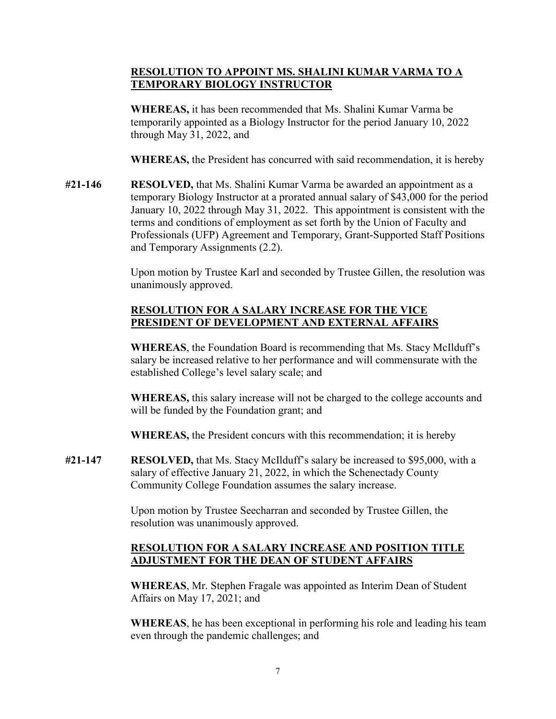# **RESOLUTION TO APPOINT MS. SHALINI KUMAR VARMA TO A TEMPORARY BIOLOGY INSTRUCTOR**

 temporarily appointed as a Biology Instructor for the period January 10, 2022 **WHEREAS,** it has been recommended that Ms. Shalini Kumar Varma be through May 31, 2022, and

**WHEREAS,** the President has concurred with said recommendation, it is hereby

 temporary Biology Instructor at a prorated annual salary of \$43,000 for the period **#21-146 RESOLVED,** that Ms. Shalini Kumar Varma be awarded an appointment as a January 10, 2022 through May 31, 2022. This appointment is consistent with the terms and conditions of employment as set forth by the Union of Faculty and Professionals (UFP) Agreement and Temporary, Grant-Supported Staff Positions and Temporary Assignments (2.2).

> Upon motion by Trustee Karl and seconded by Trustee Gillen, the resolution was unanimously approved.

# **RESOLUTION FOR A SALARY INCREASE FOR THE VICE PRESIDENT OF DEVELOPMENT AND EXTERNAL AFFAIRS**

**WHEREAS**, the Foundation Board is recommending that Ms. Stacy McIlduff's salary be increased relative to her performance and will commensurate with the established College's level salary scale; and

**WHEREAS,** this salary increase will not be charged to the college accounts and will be funded by the Foundation grant; and

**WHEREAS,** the President concurs with this recommendation; it is hereby

**#21-147 RESOLVED,** that Ms. Stacy McIlduff's salary be increased to \$95,000, with a salary of effective January 21, 2022, in which the Schenectady County Community College Foundation assumes the salary increase.

> Upon motion by Trustee Seecharran and seconded by Trustee Gillen, the resolution was unanimously approved.

# **RESOLUTION FOR A SALARY INCREASE AND POSITION TITLE ADJUSTMENT FOR THE DEAN OF STUDENT AFFAIRS**

**WHEREAS**, Mr. Stephen Fragale was appointed as Interim Dean of Student Affairs on May 17, 2021; and

**WHEREAS**, he has been exceptional in performing his role and leading his team even through the pandemic challenges; and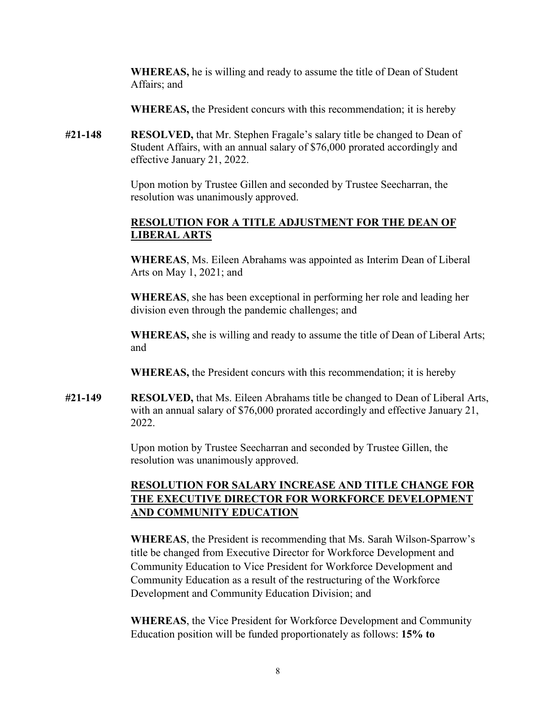**WHEREAS,** he is willing and ready to assume the title of Dean of Student Affairs; and

**WHEREAS,** the President concurs with this recommendation; it is hereby

**#21-148 RESOLVED,** that Mr. Stephen Fragale's salary title be changed to Dean of Student Affairs, with an annual salary of \$76,000 prorated accordingly and effective January 21, 2022.

> Upon motion by Trustee Gillen and seconded by Trustee Seecharran, the resolution was unanimously approved.

# **RESOLUTION FOR A TITLE ADJUSTMENT FOR THE DEAN OF LIBERAL ARTS**

 **WHEREAS**, Ms. Eileen Abrahams was appointed as Interim Dean of Liberal Arts on May 1, 2021; and

**WHEREAS**, she has been exceptional in performing her role and leading her division even through the pandemic challenges; and

 **WHEREAS,** she is willing and ready to assume the title of Dean of Liberal Arts; and

**WHEREAS,** the President concurs with this recommendation; it is hereby

**#21-149 RESOLVED,** that Ms. Eileen Abrahams title be changed to Dean of Liberal Arts, with an annual salary of \$76,000 prorated accordingly and effective January 21, 2022.

> Upon motion by Trustee Seecharran and seconded by Trustee Gillen, the resolution was unanimously approved.

# **RESOLUTION FOR SALARY INCREASE AND TITLE CHANGE FOR THE EXECUTIVE DIRECTOR FOR WORKFORCE DEVELOPMENT AND COMMUNITY EDUCATION**

 Community Education to Vice President for Workforce Development and **WHEREAS**, the President is recommending that Ms. Sarah Wilson-Sparrow's title be changed from Executive Director for Workforce Development and Community Education as a result of the restructuring of the Workforce Development and Community Education Division; and

 Education position will be funded proportionately as follows: **15% to WHEREAS**, the Vice President for Workforce Development and Community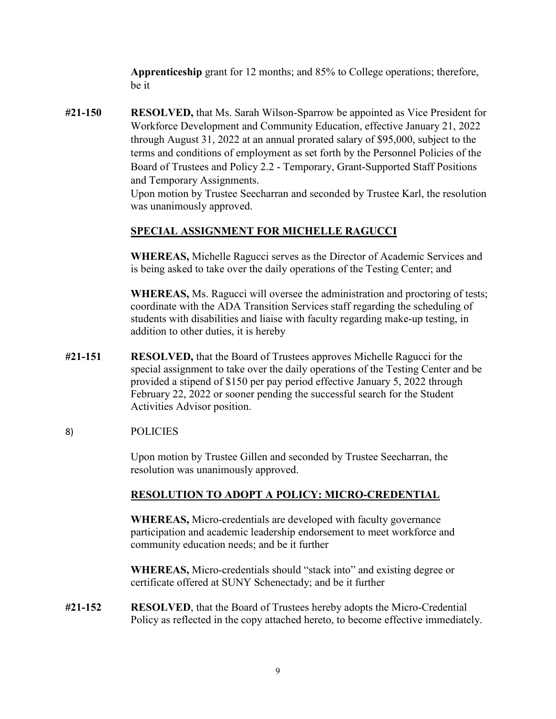**Apprenticeship** grant for 12 months; and 85% to College operations; therefore, be it

 terms and conditions of employment as set forth by the Personnel Policies of the **#21-150 RESOLVED,** that Ms. Sarah Wilson-Sparrow be appointed as Vice President for Workforce Development and Community Education, effective January 21, 2022 through August 31, 2022 at an annual prorated salary of \$95,000, subject to the Board of Trustees and Policy 2.2 - Temporary, Grant-Supported Staff Positions and Temporary Assignments.

 was unanimously approved. Upon motion by Trustee Seecharran and seconded by Trustee Karl, the resolution

#### **SPECIAL ASSIGNMENT FOR MICHELLE RAGUCCI**

**WHEREAS,** Michelle Ragucci serves as the Director of Academic Services and is being asked to take over the daily operations of the Testing Center; and

**WHEREAS,** Ms. Ragucci will oversee the administration and proctoring of tests; coordinate with the ADA Transition Services staff regarding the scheduling of students with disabilities and liaise with faculty regarding make-up testing, in addition to other duties, it is hereby

**#21-151 RESOLVED,** that the Board of Trustees approves Michelle Ragucci for the special assignment to take over the daily operations of the Testing Center and be provided a stipend of \$150 per pay period effective January 5, 2022 through February 22, 2022 or sooner pending the successful search for the Student Activities Advisor position.

#### 8) **POLICIES**

Upon motion by Trustee Gillen and seconded by Trustee Seecharran, the resolution was unanimously approved.

#### **RESOLUTION TO ADOPT A POLICY: MICRO-CREDENTIAL**

**WHEREAS,** Micro-credentials are developed with faculty governance participation and academic leadership endorsement to meet workforce and community education needs; and be it further

**WHEREAS,** Micro-credentials should "stack into" and existing degree or certificate offered at SUNY Schenectady; and be it further

**#21-152 RESOLVED**, that the Board of Trustees hereby adopts the Micro-Credential Policy as reflected in the copy attached hereto, to become effective immediately.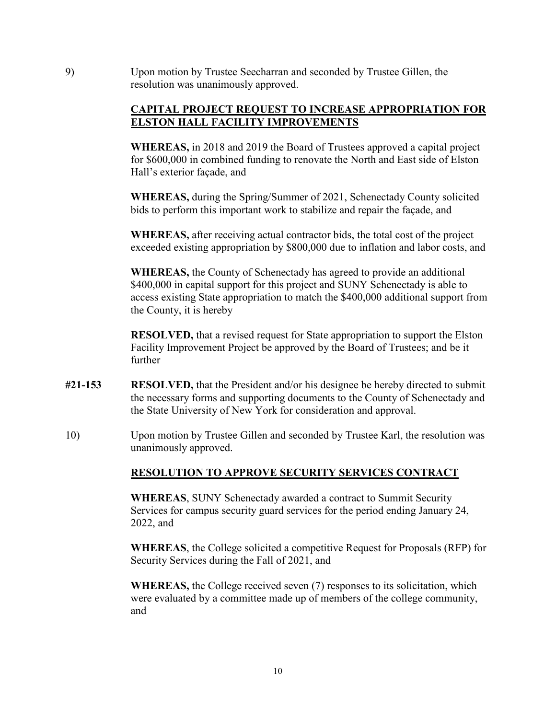9) Upon motion by Trustee Seecharran and seconded by Trustee Gillen, the resolution was unanimously approved.

#### **CAPITAL PROJECT REQUEST TO INCREASE APPROPRIATION FOR ELSTON HALL FACILITY IMPROVEMENTS**

 Hall's exterior façade, and **WHEREAS,** in 2018 and 2019 the Board of Trustees approved a capital project for \$600,000 in combined funding to renovate the North and East side of Elston

 **WHEREAS,** during the Spring/Summer of 2021, Schenectady County solicited bids to perform this important work to stabilize and repair the façade, and

**WHEREAS,** after receiving actual contractor bids, the total cost of the project exceeded existing appropriation by \$800,000 due to inflation and labor costs, and

 the County, it is hereby **WHEREAS,** the County of Schenectady has agreed to provide an additional \$400,000 in capital support for this project and SUNY Schenectady is able to access existing State appropriation to match the \$400,000 additional support from

**RESOLVED,** that a revised request for State appropriation to support the Elston Facility Improvement Project be approved by the Board of Trustees; and be it further

- **#21-153 RESOLVED,** that the President and/or his designee be hereby directed to submit the necessary forms and supporting documents to the County of Schenectady and the State University of New York for consideration and approval.
- 10) Upon motion by Trustee Gillen and seconded by Trustee Karl, the resolution was unanimously approved.

# **RESOLUTION TO APPROVE SECURITY SERVICES CONTRACT**

**WHEREAS**, SUNY Schenectady awarded a contract to Summit Security Services for campus security guard services for the period ending January 24, 2022, and

**WHEREAS**, the College solicited a competitive Request for Proposals (RFP) for Security Services during the Fall of 2021, and

**WHEREAS,** the College received seven (7) responses to its solicitation, which were evaluated by a committee made up of members of the college community, and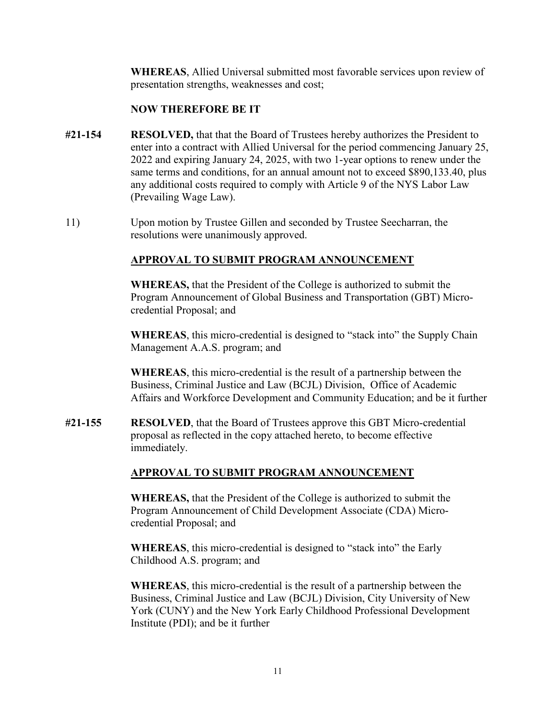presentation strengths, weaknesses and cost; **WHEREAS**, Allied Universal submitted most favorable services upon review of

#### **NOW THEREFORE BE IT**

- any additional costs required to comply with Article 9 of the NYS Labor Law **#21-154 RESOLVED,** that that the Board of Trustees hereby authorizes the President to enter into a contract with Allied Universal for the period commencing January 25, 2022 and expiring January 24, 2025, with two 1-year options to renew under the same terms and conditions, for an annual amount not to exceed \$[890,133.40,](https://890,133.40) plus (Prevailing Wage Law).
- resolutions were unanimously approved. 11) Upon motion by Trustee Gillen and seconded by Trustee Seecharran, the

#### **APPROVAL TO SUBMIT PROGRAM ANNOUNCEMENT**

**WHEREAS,** that the President of the College is authorized to submit the Program Announcement of Global Business and Transportation (GBT) Microcredential Proposal; and

**WHEREAS**, this micro-credential is designed to "stack into" the Supply Chain Management A.A.S. program; and

**WHEREAS**, this micro-credential is the result of a partnership between the Business, Criminal Justice and Law (BCJL) Division, Office of Academic Affairs and Workforce Development and Community Education; and be it further

**#21-155 RESOLVED**, that the Board of Trustees approve this GBT Micro-credential proposal as reflected in the copy attached hereto, to become effective immediately.

# **APPROVAL TO SUBMIT PROGRAM ANNOUNCEMENT**

**WHEREAS,** that the President of the College is authorized to submit the Program Announcement of Child Development Associate (CDA) Microcredential Proposal; and

**WHEREAS**, this micro-credential is designed to "stack into" the Early Childhood A.S. program; and

**WHEREAS**, this micro-credential is the result of a partnership between the Business, Criminal Justice and Law (BCJL) Division, City University of New York (CUNY) and the New York Early Childhood Professional Development Institute (PDI); and be it further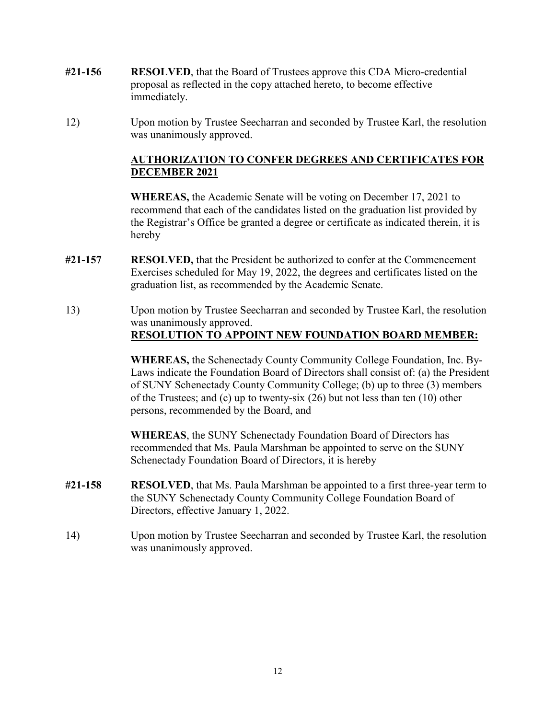- **#21-156 RESOLVED**, that the Board of Trustees approve this CDA Micro-credential proposal as reflected in the copy attached hereto, to become effective immediately.
- was unanimously approved. 12) Upon motion by Trustee Seecharran and seconded by Trustee Karl, the resolution

# **AUTHORIZATION TO CONFER DEGREES AND CERTIFICATES FOR DECEMBER 2021**

**WHEREAS,** the Academic Senate will be voting on December 17, 2021 to recommend that each of the candidates listed on the graduation list provided by the Registrar's Office be granted a degree or certificate as indicated therein, it is hereby

- **#21-157 RESOLVED,** that the President be authorized to confer at the Commencement Exercises scheduled for May 19, 2022, the degrees and certificates listed on the graduation list, as recommended by the Academic Senate.
- was unanimously approved. **RESOLUTION TO APPOINT NEW FOUNDATION BOARD MEMBER:** 13) Upon motion by Trustee Seecharran and seconded by Trustee Karl, the resolution

 **RESOLUTION TO APPOINT NEW FOUNDATION BOARD MEMBER: WHEREAS,** the Schenectady County Community College Foundation, Inc. By- persons, recommended by the Board, and Laws indicate the Foundation Board of Directors shall consist of: (a) the President of SUNY Schenectady County Community College; (b) up to three (3) members of the Trustees; and (c) up to twenty-six (26) but not less than ten (10) other

 Schenectady Foundation Board of Directors, it is hereby **WHEREAS**, the SUNY Schenectady Foundation Board of Directors has recommended that Ms. Paula Marshman be appointed to serve on the SUNY

- **#21-158 RESOLVED**, that Ms. Paula Marshman be appointed to a first three-year term to the SUNY Schenectady County Community College Foundation Board of Directors, effective January 1, 2022.
- was unanimously approved. 14) Upon motion by Trustee Seecharran and seconded by Trustee Karl, the resolution